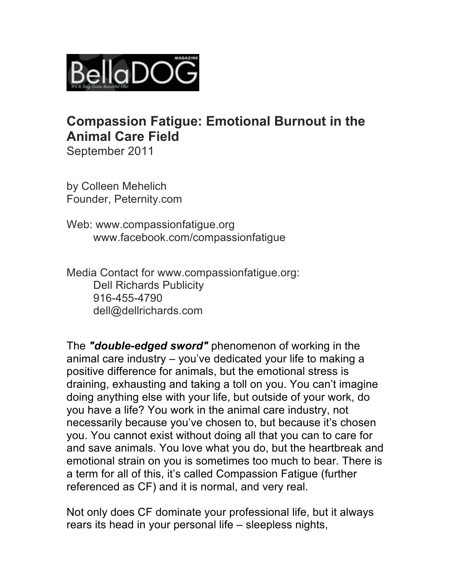

# **Compassion Fatigue: Emotional Burnout in the Animal Care Field**

September 2011

by Colleen Mehelich Founder, Peternity.com

Web: www.compassionfatique.org www.facebook.com/compassionfatigue

Media Contact for www.compassionfatigue.org: Dell Richards Publicity 916-455-4790 dell@dellrichards.com

The *"double-edged sword"* phenomenon of working in the animal care industry – you've dedicated your life to making a positive difference for animals, but the emotional stress is draining, exhausting and taking a toll on you. You can't imagine doing anything else with your life, but outside of your work, do you have a life? You work in the animal care industry, not necessarily because you've chosen to, but because it's chosen you. You cannot exist without doing all that you can to care for and save animals. You love what you do, but the heartbreak and emotional strain on you is sometimes too much to bear. There is a term for all of this, it's called Compassion Fatigue (further referenced as CF) and it is normal, and very real.

Not only does CF dominate your professional life, but it always rears its head in your personal life – sleepless nights,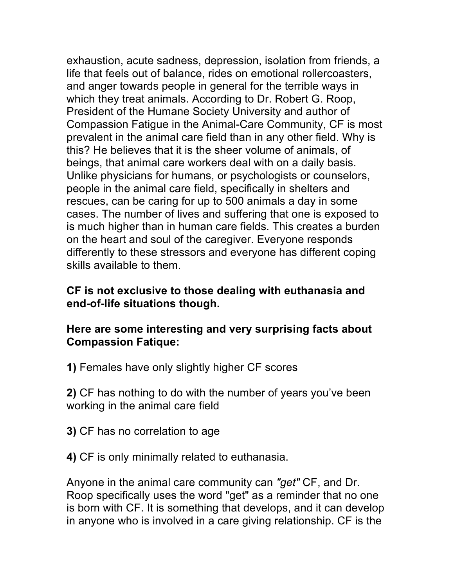exhaustion, acute sadness, depression, isolation from friends, a life that feels out of balance, rides on emotional rollercoasters, and anger towards people in general for the terrible ways in which they treat animals. According to Dr. Robert G. Roop, President of the Humane Society University and author of Compassion Fatigue in the Animal-Care Community, CF is most prevalent in the animal care field than in any other field. Why is this? He believes that it is the sheer volume of animals, of beings, that animal care workers deal with on a daily basis. Unlike physicians for humans, or psychologists or counselors, people in the animal care field, specifically in shelters and rescues, can be caring for up to 500 animals a day in some cases. The number of lives and suffering that one is exposed to is much higher than in human care fields. This creates a burden on the heart and soul of the caregiver. Everyone responds differently to these stressors and everyone has different coping skills available to them.

### **CF is not exclusive to those dealing with euthanasia and end-of-life situations though.**

### **Here are some interesting and very surprising facts about Compassion Fatique:**

**1)** Females have only slightly higher CF scores

**2)** CF has nothing to do with the number of years you've been working in the animal care field

- **3)** CF has no correlation to age
- **4)** CF is only minimally related to euthanasia.

Anyone in the animal care community can *"get"* CF, and Dr. Roop specifically uses the word "get" as a reminder that no one is born with CF. It is something that develops, and it can develop in anyone who is involved in a care giving relationship. CF is the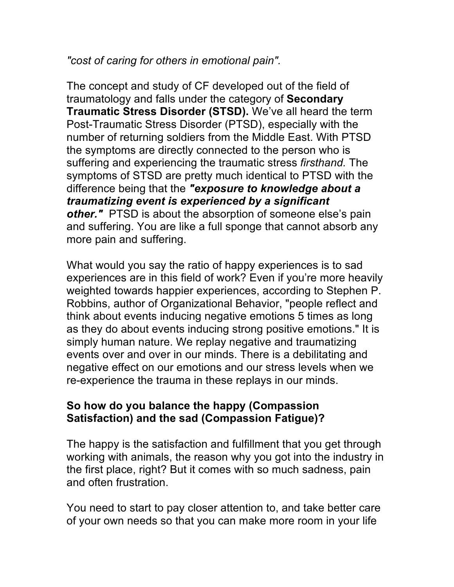# *"cost of caring for others in emotional pain".*

The concept and study of CF developed out of the field of traumatology and falls under the category of **Secondary Traumatic Stress Disorder (STSD).** We've all heard the term Post-Traumatic Stress Disorder (PTSD), especially with the number of returning soldiers from the Middle East. With PTSD the symptoms are directly connected to the person who is suffering and experiencing the traumatic stress *firsthand.* The symptoms of STSD are pretty much identical to PTSD with the difference being that the *"exposure to knowledge about a traumatizing event is experienced by a significant other.* PTSD is about the absorption of someone else's pain and suffering. You are like a full sponge that cannot absorb any more pain and suffering.

What would you say the ratio of happy experiences is to sad experiences are in this field of work? Even if you're more heavily weighted towards happier experiences, according to Stephen P. Robbins, author of Organizational Behavior, "people reflect and think about events inducing negative emotions 5 times as long as they do about events inducing strong positive emotions." It is simply human nature. We replay negative and traumatizing events over and over in our minds. There is a debilitating and negative effect on our emotions and our stress levels when we re-experience the trauma in these replays in our minds.

# **So how do you balance the happy (Compassion Satisfaction) and the sad (Compassion Fatigue)?**

The happy is the satisfaction and fulfillment that you get through working with animals, the reason why you got into the industry in the first place, right? But it comes with so much sadness, pain and often frustration.

You need to start to pay closer attention to, and take better care of your own needs so that you can make more room in your life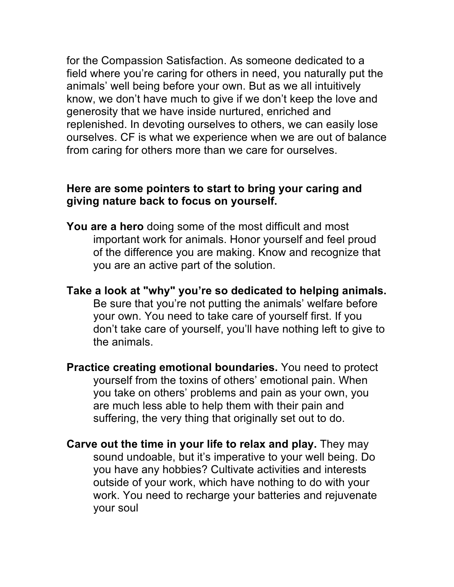for the Compassion Satisfaction. As someone dedicated to a field where you're caring for others in need, you naturally put the animals' well being before your own. But as we all intuitively know, we don't have much to give if we don't keep the love and generosity that we have inside nurtured, enriched and replenished. In devoting ourselves to others, we can easily lose ourselves. CF is what we experience when we are out of balance from caring for others more than we care for ourselves.

#### **Here are some pointers to start to bring your caring and giving nature back to focus on yourself.**

- **You are a hero** doing some of the most difficult and most important work for animals. Honor yourself and feel proud of the difference you are making. Know and recognize that you are an active part of the solution.
- **Take a look at "why" you're so dedicated to helping animals.** Be sure that you're not putting the animals' welfare before your own. You need to take care of yourself first. If you don't take care of yourself, you'll have nothing left to give to the animals.
- **Practice creating emotional boundaries.** You need to protect yourself from the toxins of others' emotional pain. When you take on others' problems and pain as your own, you are much less able to help them with their pain and suffering, the very thing that originally set out to do.
- **Carve out the time in your life to relax and play.** They may sound undoable, but it's imperative to your well being. Do you have any hobbies? Cultivate activities and interests outside of your work, which have nothing to do with your work. You need to recharge your batteries and rejuvenate your soul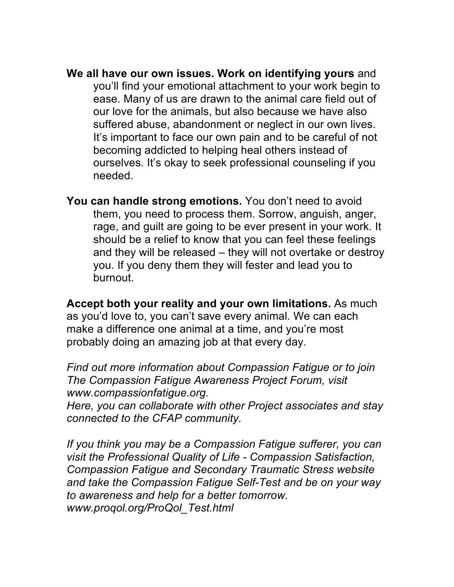**We all have our own issues. Work on identifying yours** and you'll find your emotional attachment to your work begin to ease. Many of us are drawn to the animal care field out of our love for the animals, but also because we have also suffered abuse, abandonment or neglect in our own lives. It's important to face our own pain and to be careful of not becoming addicted to helping heal others instead of ourselves. It's okay to seek professional counseling if you needed.

**You can handle strong emotions.** You don't need to avoid them, you need to process them. Sorrow, anguish, anger, rage, and guilt are going to be ever present in your work. It should be a relief to know that you can feel these feelings and they will be released – they will not overtake or destroy you. If you deny them they will fester and lead you to burnout.

**Accept both your reality and your own limitations.** As much as you'd love to, you can't save every animal. We can each make a difference one animal at a time, and you're most probably doing an amazing job at that every day.

*Find out more information about Compassion Fatigue or to join The Compassion Fatigue Awareness Project Forum, visit www.compassionfatigue.org.*

*Here, you can collaborate with other Project associates and stay connected to the CFAP community.*

*If you think you may be a Compassion Fatigue sufferer, you can visit the Professional Quality of Life - Compassion Satisfaction, Compassion Fatigue and Secondary Traumatic Stress website and take the Compassion Fatigue Self-Test and be on your way to awareness and help for a better tomorrow. www.proqol.org/ProQol\_Test.html*